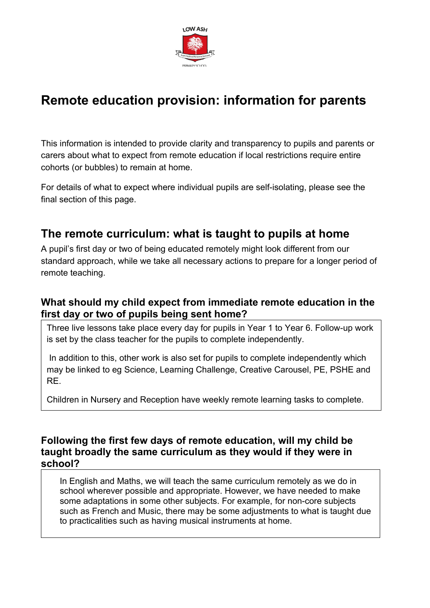

# **Remote education provision: information for parents**

This information is intended to provide clarity and transparency to pupils and parents or carers about what to expect from remote education if local restrictions require entire cohorts (or bubbles) to remain at home.

For details of what to expect where individual pupils are self-isolating, please see the final section of this page.

## **The remote curriculum: what is taught to pupils at home**

A pupil's first day or two of being educated remotely might look different from our standard approach, while we take all necessary actions to prepare for a longer period of remote teaching.

## **What should my child expect from immediate remote education in the first day or two of pupils being sent home?**

Three live lessons take place every day for pupils in Year 1 to Year 6. Follow-up work is set by the class teacher for the pupils to complete independently.

 In addition to this, other work is also set for pupils to complete independently which may be linked to eg Science, Learning Challenge, Creative Carousel, PE, PSHE and RE.

Children in Nursery and Reception have weekly remote learning tasks to complete.

### **Following the first few days of remote education, will my child be taught broadly the same curriculum as they would if they were in school?**

In English and Maths, we will teach the same curriculum remotely as we do in school wherever possible and appropriate. However, we have needed to make some adaptations in some other subjects. For example, for non-core subjects such as French and Music, there may be some adjustments to what is taught due to practicalities such as having musical instruments at home.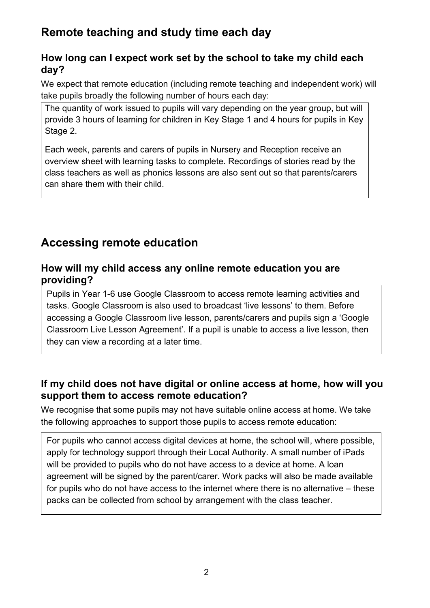## **Remote teaching and study time each day**

## **How long can I expect work set by the school to take my child each day?**

We expect that remote education (including remote teaching and independent work) will take pupils broadly the following number of hours each day:

The quantity of work issued to pupils will vary depending on the year group, but will provide 3 hours of learning for children in Key Stage 1 and 4 hours for pupils in Key Stage 2.

Each week, parents and carers of pupils in Nursery and Reception receive an overview sheet with learning tasks to complete. Recordings of stories read by the class teachers as well as phonics lessons are also sent out so that parents/carers can share them with their child.

## **Accessing remote education**

### **How will my child access any online remote education you are providing?**

Pupils in Year 1-6 use Google Classroom to access remote learning activities and tasks. Google Classroom is also used to broadcast 'live lessons' to them. Before accessing a Google Classroom live lesson, parents/carers and pupils sign a 'Google Classroom Live Lesson Agreement'. If a pupil is unable to access a live lesson, then they can view a recording at a later time.

## **If my child does not have digital or online access at home, how will you support them to access remote education?**

We recognise that some pupils may not have suitable online access at home. We take the following approaches to support those pupils to access remote education:

For pupils who cannot access digital devices at home, the school will, where possible, apply for technology support through their Local Authority. A small number of iPads will be provided to pupils who do not have access to a device at home. A loan agreement will be signed by the parent/carer. Work packs will also be made available for pupils who do not have access to the internet where there is no alternative – these packs can be collected from school by arrangement with the class teacher.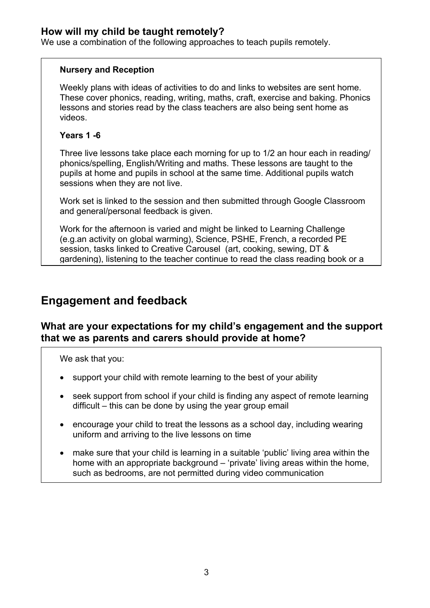### **How will my child be taught remotely?**

We use a combination of the following approaches to teach pupils remotely.

#### **Nursery and Reception**

Weekly plans with ideas of activities to do and links to websites are sent home. These cover phonics, reading, writing, maths, craft, exercise and baking. Phonics lessons and stories read by the class teachers are also being sent home as videos.

#### **Years 1 -6**

Three live lessons take place each morning for up to 1/2 an hour each in reading/ phonics/spelling, English/Writing and maths. These lessons are taught to the pupils at home and pupils in school at the same time. Additional pupils watch sessions when they are not live.

Work set is linked to the session and then submitted through Google Classroom and general/personal feedback is given.

Work for the afternoon is varied and might be linked to Learning Challenge (e.g.an activity on global warming), Science, PSHE, French, a recorded PE session, tasks linked to Creative Carousel (art, cooking, sewing, DT & gardening), listening to the teacher continue to read the class reading book or a

## **Engagement and feedback**

### **What are your expectations for my child's engagement and the support that we as parents and carers should provide at home?**

We ask that you:

- support your child with remote learning to the best of your ability
- seek support from school if your child is finding any aspect of remote learning difficult – this can be done by using the year group email
- encourage your child to treat the lessons as a school day, including wearing uniform and arriving to the live lessons on time
- make sure that your child is learning in a suitable 'public' living area within the home with an appropriate background – 'private' living areas within the home, such as bedrooms, are not permitted during video communication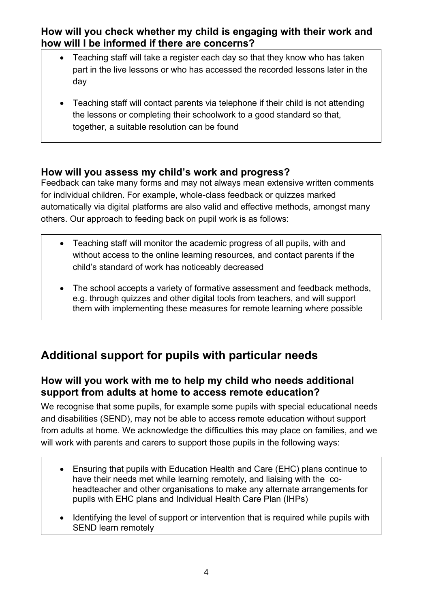**How will you check whether my child is engaging with their work and how will I be informed if there are concerns?**

- Teaching staff will take a register each day so that they know who has taken part in the live lessons or who has accessed the recorded lessons later in the day
- Teaching staff will contact parents via telephone if their child is not attending the lessons or completing their schoolwork to a good standard so that, together, a suitable resolution can be found

## **How will you assess my child's work and progress?**

Feedback can take many forms and may not always mean extensive written comments for individual children. For example, whole-class feedback or quizzes marked automatically via digital platforms are also valid and effective methods, amongst many others. Our approach to feeding back on pupil work is as follows:

- Teaching staff will monitor the academic progress of all pupils, with and without access to the online learning resources, and contact parents if the child's standard of work has noticeably decreased
- The school accepts a variety of formative assessment and feedback methods, e.g. through quizzes and other digital tools from teachers, and will support them with implementing these measures for remote learning where possible

# **Additional support for pupils with particular needs**

## **How will you work with me to help my child who needs additional support from adults at home to access remote education?**

We recognise that some pupils, for example some pupils with special educational needs and disabilities (SEND), may not be able to access remote education without support from adults at home. We acknowledge the difficulties this may place on families, and we will work with parents and carers to support those pupils in the following ways:

- Ensuring that pupils with Education Health and Care (EHC) plans continue to have their needs met while learning remotely, and liaising with the coheadteacher and other organisations to make any alternate arrangements for pupils with EHC plans and Individual Health Care Plan (IHPs)
- Identifying the level of support or intervention that is required while pupils with SEND learn remotely